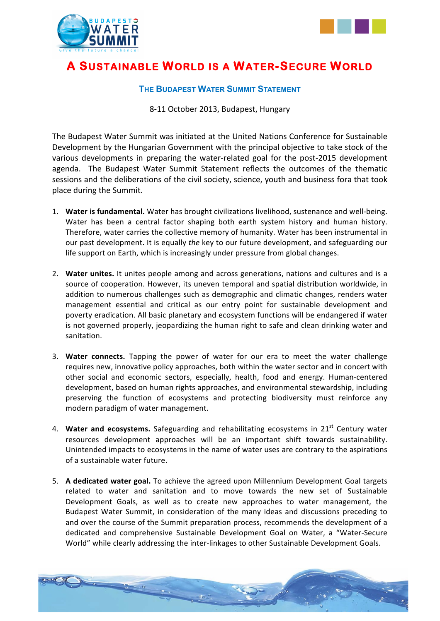



# **A SUSTAINABLE WORLD IS A WATER-SECURE WORLD**

### **THE BUDAPEST WATER SUMMIT STATEMENT**

8-11 October 2013, Budapest, Hungary

The Budapest Water Summit was initiated at the United Nations Conference for Sustainable Development by the Hungarian Government with the principal objective to take stock of the various developments in preparing the water-related goal for the post-2015 development agenda. The Budapest Water Summit Statement reflects the outcomes of the thematic sessions and the deliberations of the civil society, science, youth and business fora that took place during the Summit.

- 1. Water is fundamental. Water has brought civilizations livelihood, sustenance and well-being. Water has been a central factor shaping both earth system history and human history. Therefore, water carries the collective memory of humanity. Water has been instrumental in our past development. It is equally *the* key to our future development, and safeguarding our life support on Earth, which is increasingly under pressure from global changes.
- 2. Water unites. It unites people among and across generations, nations and cultures and is a source of cooperation. However, its uneven temporal and spatial distribution worldwide, in addition to numerous challenges such as demographic and climatic changes, renders water management essential and critical as our entry point for sustainable development and poverty eradication. All basic planetary and ecosystem functions will be endangered if water is not governed properly, jeopardizing the human right to safe and clean drinking water and sanitation.
- 3. Water connects. Tapping the power of water for our era to meet the water challenge requires new, innovative policy approaches, both within the water sector and in concert with other social and economic sectors, especially, health, food and energy. Human-centered development, based on human rights approaches, and environmental stewardship, including preserving the function of ecosystems and protecting biodiversity must reinforce any modern paradigm of water management.
- 4. Water and ecosystems. Safeguarding and rehabilitating ecosystems in 21<sup>st</sup> Century water resources development approaches will be an important shift towards sustainability. Unintended impacts to ecosystems in the name of water uses are contrary to the aspirations of a sustainable water future.
- 5. A dedicated water goal. To achieve the agreed upon Millennium Development Goal targets related to water and sanitation and to move towards the new set of Sustainable Development Goals, as well as to create new approaches to water management, the Budapest Water Summit, in consideration of the many ideas and discussions preceding to and over the course of the Summit preparation process, recommends the development of a dedicated and comprehensive Sustainable Development Goal on Water, a "Water-Secure World" while clearly addressing the inter-linkages to other Sustainable Development Goals.

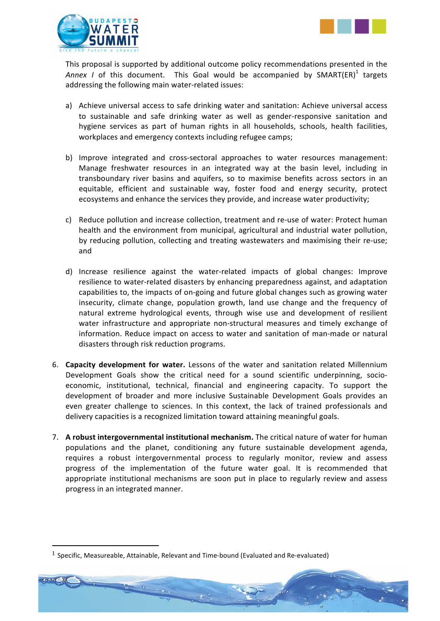



This proposal is supported by additional outcome policy recommendations presented in the Annex *I* of this document. This Goal would be accompanied by SMART(ER)<sup>1</sup> targets addressing the following main water-related issues:

- a) Achieve universal access to safe drinking water and sanitation: Achieve universal access to sustainable and safe drinking water as well as gender-responsive sanitation and hygiene services as part of human rights in all households, schools, health facilities, workplaces and emergency contexts including refugee camps;
- b) Improve integrated and cross-sectoral approaches to water resources management: Manage freshwater resources in an integrated way at the basin level, including in transboundary river basins and aquifers, so to maximise benefits across sectors in an equitable, efficient and sustainable way, foster food and energy security, protect ecosystems and enhance the services they provide, and increase water productivity;
- c) Reduce pollution and increase collection, treatment and re-use of water: Protect human health and the environment from municipal, agricultural and industrial water pollution, by reducing pollution, collecting and treating wastewaters and maximising their re-use; and
- d) Increase resilience against the water-related impacts of global changes: Improve resilience to water-related disasters by enhancing preparedness against, and adaptation capabilities to, the impacts of on-going and future global changes such as growing water insecurity, climate change, population growth, land use change and the frequency of natural extreme hydrological events, through wise use and development of resilient water infrastructure and appropriate non-structural measures and timely exchange of information. Reduce impact on access to water and sanitation of man-made or natural disasters through risk reduction programs.
- 6. **Capacity development for water.** Lessons of the water and sanitation related Millennium Development Goals show the critical need for a sound scientific underpinning, socioeconomic, institutional, technical, financial and engineering capacity. To support the development of broader and more inclusive Sustainable Development Goals provides an even greater challenge to sciences. In this context, the lack of trained professionals and delivery capacities is a recognized limitation toward attaining meaningful goals.
- 7. A robust intergovernmental institutional mechanism. The critical nature of water for human populations and the planet, conditioning any future sustainable development agenda, requires a robust intergovernmental process to regularly monitor, review and assess progress of the implementation of the future water goal. It is recommended that appropriate institutional mechanisms are soon put in place to regularly review and assess progress in an integrated manner.

!!!!!!!!!!!!!!!!!!!!!!!!!!!!!!!!!!!!!!!!!!!!!!!!!!!!!!!!!!!!



 $1$  Specific, Measureable, Attainable, Relevant and Time-bound (Evaluated and Re-evaluated)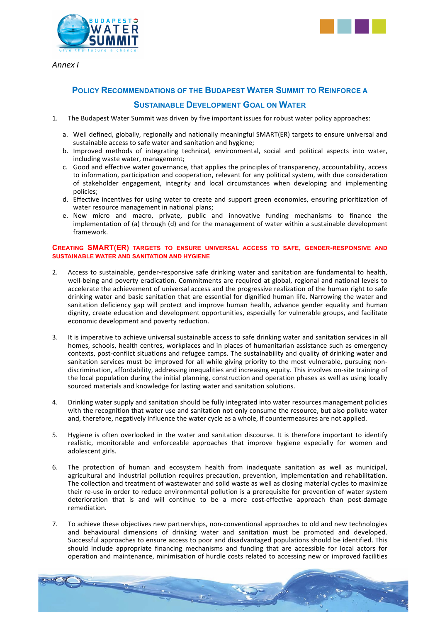



*Annex(I*

## **POLICY RECOMMENDATIONS OF THE BUDAPEST WATER SUMMIT TO REINFORCE A SUSTAINABLE DEVELOPMENT GOAL ON WATER**

- 1. The Budapest Water Summit was driven by five important issues for robust water policy approaches:
	- a. Well defined, globally, regionally and nationally meaningful SMART(ER) targets to ensure universal and sustainable access to safe water and sanitation and hygiene:
	- b. Improved methods of integrating technical, environmental, social and political aspects into water, including waste water, management;
	- c. Good and effective water governance, that applies the principles of transparency, accountability, access to information, participation and cooperation, relevant for any political system, with due consideration of stakeholder engagement, integrity and local circumstances when developing and implementing policies:
	- d. Effective incentives for using water to create and support green economies, ensuring prioritization of water resource management in national plans;
	- e. New micro and macro, private, public and innovative funding mechanisms to finance the implementation of (a) through (d) and for the management of water within a sustainable development framework.

#### **CREATING SMART(ER) TARGETS TO ENSURE UNIVERSAL ACCESS TO SAFE, GENDER-RESPONSIVE AND SUSTAINABLE WATER AND SANITATION AND HYGIENE**

- 2. Access to sustainable, gender-responsive safe drinking water and sanitation are fundamental to health, well-being and poverty eradication. Commitments are required at global, regional and national levels to accelerate the achievement of universal access and the progressive realization of the human right to safe drinking water and basic sanitation that are essential for dignified human life. Narrowing the water and sanitation deficiency gap will protect and improve human health, advance gender equality and human dignity, create education and development opportunities, especially for vulnerable groups, and facilitate economic development and poverty reduction.
- 3. It is imperative to achieve universal sustainable access to safe drinking water and sanitation services in all homes, schools, health centres, workplaces and in places of humanitarian assistance such as emergency contexts, post-conflict situations and refugee camps. The sustainability and quality of drinking water and sanitation services must be improved for all while giving priority to the most vulnerable, pursuing nondiscrimination, affordability, addressing inequalities and increasing equity. This involves on-site training of the local population during the initial planning, construction and operation phases as well as using locally sourced materials and knowledge for lasting water and sanitation solutions.
- 4. Drinking water supply and sanitation should be fully integrated into water resources management policies with the recognition that water use and sanitation not only consume the resource, but also pollute water and, therefore, negatively influence the water cycle as a whole, if countermeasures are not applied.
- 5. Hygiene is often overlooked in the water and sanitation discourse. It is therefore important to identify realistic, monitorable and enforceable approaches that improve hygiene especially for women and adolescent girls.
- 6. The protection of human and ecosystem health from inadequate sanitation as well as municipal, agricultural and industrial pollution requires precaution, prevention, implementation and rehabilitation. The collection and treatment of wastewater and solid waste as well as closing material cycles to maximize their re-use in order to reduce environmental pollution is a prerequisite for prevention of water system deterioration that is and will continue to be a more cost-effective approach than post-damage remediation.
- 7. To achieve these objectives new partnerships, non-conventional approaches to old and new technologies and behavioural dimensions of drinking water and sanitation must be promoted and developed. Successful approaches to ensure access to poor and disadvantaged populations should be identified. This should include appropriate financing mechanisms and funding that are accessible for local actors for operation and maintenance, minimisation of hurdle costs related to accessing new or improved facilities

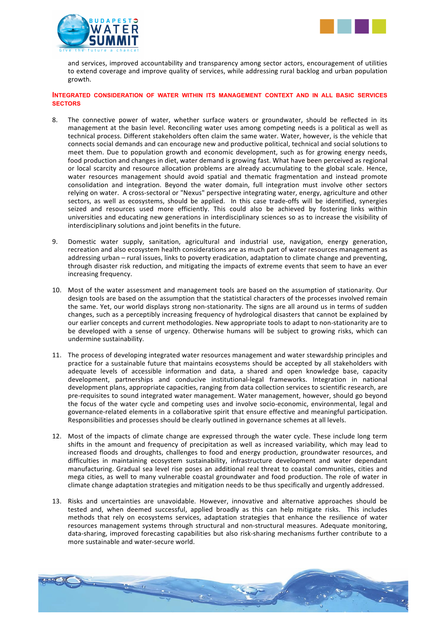



and services, improved accountability and transparency among sector actors, encouragement of utilities to extend coverage and improve quality of services, while addressing rural backlog and urban population growth.

#### **INTEGRATED CONSIDERATION OF WATER WITHIN ITS MANAGEMENT CONTEXT AND IN ALL BASIC SERVICES SECTORS**

- 8. The connective power of water, whether surface waters or groundwater, should be reflected in its management at the basin level. Reconciling water uses among competing needs is a political as well as technical process. Different stakeholders often claim the same water. Water, however, is the vehicle that connects social demands and can encourage new and productive political, technical and social solutions to meet them. Due to population growth and economic development, such as for growing energy needs, food production and changes in diet, water demand is growing fast. What have been perceived as regional or local scarcity and resource allocation problems are already accumulating to the global scale. Hence, water resources management should avoid spatial and thematic fragmentation and instead promote consolidation and integration. Beyond the water domain, full integration must involve other sectors relying on water. A cross-sectoral or "Nexus" perspective integrating water, energy, agriculture and other sectors, as well as ecosystems, should be applied. In this case trade-offs will be identified, synergies seized and resources used more efficiently. This could also be achieved by fostering links within universities and educating new generations in interdisciplinary sciences so as to increase the visibility of interdisciplinary solutions and joint benefits in the future.
- 9. Domestic water supply, sanitation, agricultural and industrial use, navigation, energy generation, recreation and also ecosystem health considerations are as much part of water resources management as addressing urban – rural issues, links to poverty eradication, adaptation to climate change and preventing, through disaster risk reduction, and mitigating the impacts of extreme events that seem to have an ever increasing frequency.
- 10. Most of the water assessment and management tools are based on the assumption of stationarity. Our design tools are based on the assumption that the statistical characters of the processes involved remain the same. Yet, our world displays strong non-stationarity. The signs are all around us in terms of sudden changes, such as a perceptibly increasing frequency of hydrological disasters that cannot be explained by our earlier concepts and current methodologies. New appropriate tools to adapt to non-stationarity are to be developed with a sense of urgency. Otherwise humans will be subject to growing risks, which can undermine sustainability.
- 11. The process of developing integrated water resources management and water stewardship principles and practice for a sustainable future that maintains ecosystems should be accepted by all stakeholders with adequate levels of accessible information and data, a shared and open knowledge base, capacity development, partnerships and conducive institutional-legal frameworks. Integration in national development plans, appropriate capacities, ranging from data collection services to scientific research, are pre-requisites to sound integrated water management. Water management, however, should go beyond the focus of the water cycle and competing uses and involve socio-economic, environmental, legal and governance-related elements in a collaborative spirit that ensure effective and meaningful participation. Responsibilities and processes should be clearly outlined in governance schemes at all levels.
- 12. Most of the impacts of climate change are expressed through the water cycle. These include long term shifts in the amount and frequency of precipitation as well as increased variability, which may lead to increased floods and droughts, challenges to food and energy production, groundwater resources, and difficulties in maintaining ecosystem sustainability, infrastructure development and water dependant manufacturing. Gradual sea level rise poses an additional real threat to coastal communities, cities and mega cities, as well to many vulnerable coastal groundwater and food production. The role of water in climate change adaptation strategies and mitigation needs to be thus specifically and urgently addressed.
- 13. Risks and uncertainties are unavoidable. However, innovative and alternative approaches should be tested and, when deemed successful, applied broadly as this can help mitigate risks. This includes methods that rely on ecosystems services, adaptation strategies that enhance the resilience of water resources management systems through structural and non-structural measures. Adequate monitoring, data-sharing, improved forecasting capabilities but also risk-sharing mechanisms further contribute to a more sustainable and water-secure world.

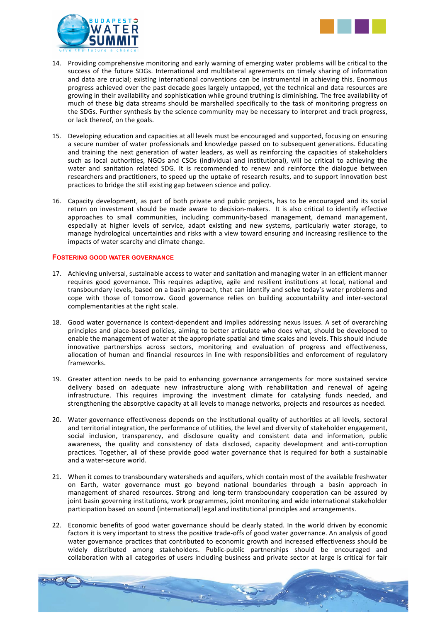



- 14. Providing comprehensive monitoring and early warning of emerging water problems will be critical to the success of the future SDGs. International and multilateral agreements on timely sharing of information and data are crucial; existing international conventions can be instrumental in achieving this. Enormous progress achieved over the past decade goes largely untapped, yet the technical and data resources are growing in their availability and sophistication while ground truthing is diminishing. The free availability of much of these big data streams should be marshalled specifically to the task of monitoring progress on the SDGs. Further synthesis by the science community may be necessary to interpret and track progress, or lack thereof, on the goals.
- 15. Developing education and capacities at all levels must be encouraged and supported, focusing on ensuring a secure number of water professionals and knowledge passed on to subsequent generations. Educating and training the next generation of water leaders, as well as reinforcing the capacities of stakeholders such as local authorities, NGOs and CSOs (individual and institutional), will be critical to achieving the water and sanitation related SDG. It is recommended to renew and reinforce the dialogue between researchers and practitioners, to speed up the uptake of research results, and to support innovation best practices to bridge the still existing gap between science and policy.
- 16. Capacity development, as part of both private and public projects, has to be encouraged and its social return on investment should be made aware to decision-makers. It is also critical to identify effective approaches to small communities, including community-based management, demand management, especially at higher levels of service, adapt existing and new systems, particularly water storage, to manage hydrological uncertainties and risks with a view toward ensuring and increasing resilience to the impacts of water scarcity and climate change.

#### **FOSTERING GOOD WATER GOVERNANCE**

- 17. Achieving universal, sustainable access to water and sanitation and managing water in an efficient manner requires good governance. This requires adaptive, agile and resilient institutions at local, national and transboundary levels, based on a basin approach, that can identify and solve today's water problems and cope with those of tomorrow. Good governance relies on building accountability and inter-sectoral complementarities at the right scale.
- 18. Good water governance is context-dependent and implies addressing nexus issues. A set of overarching principles and place-based policies, aiming to better articulate who does what, should be developed to enable the management of water at the appropriate spatial and time scales and levels. This should include innovative partnerships across sectors, monitoring and evaluation of progress and effectiveness, allocation of human and financial resources in line with responsibilities and enforcement of regulatory frameworks.
- 19. Greater attention needs to be paid to enhancing governance arrangements for more sustained service delivery based on adequate new infrastructure along with rehabilitation and renewal of ageing infrastructure. This requires improving the investment climate for catalysing funds needed, and strengthening the absorptive capacity at all levels to manage networks, projects and resources as needed.
- 20. Water governance effectiveness depends on the institutional quality of authorities at all levels, sectoral and territorial integration, the performance of utilities, the level and diversity of stakeholder engagement, social inclusion, transparency, and disclosure quality and consistent data and information, public awareness, the quality and consistency of data disclosed, capacity development and anti-corruption practices. Together, all of these provide good water governance that is required for both a sustainable and a water-secure world.
- 21. When it comes to transboundary watersheds and aquifers, which contain most of the available freshwater on Earth, water governance must go beyond national boundaries through a basin approach in management of shared resources. Strong and long-term transboundary cooperation can be assured by joint basin governing institutions, work programmes, joint monitoring and wide international stakeholder participation based on sound (international) legal and institutional principles and arrangements.
- 22. Economic benefits of good water governance should be clearly stated. In the world driven by economic factors it is very important to stress the positive trade-offs of good water governance. An analysis of good water governance practices that contributed to economic growth and increased effectiveness should be widely distributed among stakeholders. Public-public partnerships should be encouraged and collaboration with all categories of users including business and private sector at large is critical for fair